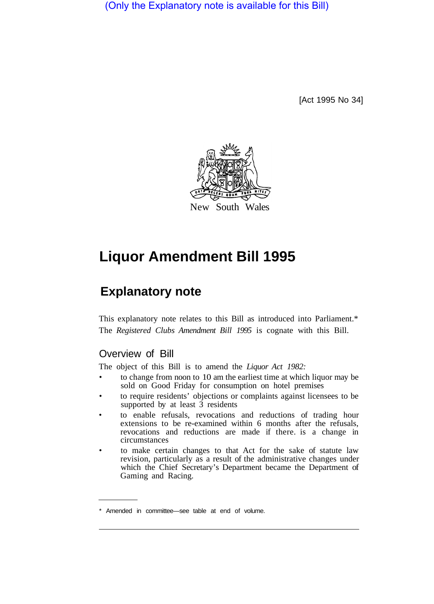(Only the Explanatory note is available for this Bill)

[Act 1995 No 34]



# **Liquor Amendment Bill 1995**

# **Explanatory note**

This explanatory note relates to this Bill as introduced into Parliament.\* The *Registered Clubs Amendment Bill 1995* is cognate with this Bill.

### Overview of Bill

The object of this Bill is to amend the *Liquor Act 1982:* 

- to change from noon to 10 am the earliest time at which liquor may be sold on Good Friday for consumption on hotel premises
- to require residents' objections or complaints against licensees to be supported by at least  $\tilde{3}$  residents
- to enable refusals, revocations and reductions of trading hour extensions to be re-examined within 6 months after the refusals, revocations and reductions are made if there. is a change in circumstances
- to make certain changes to that Act for the sake of statute law revision, particularly as a result of the administrative changes under which the Chief Secretary's Department became the Department of Gaming and Racing.

<sup>\*</sup> Amended in committee—see table at end of volume.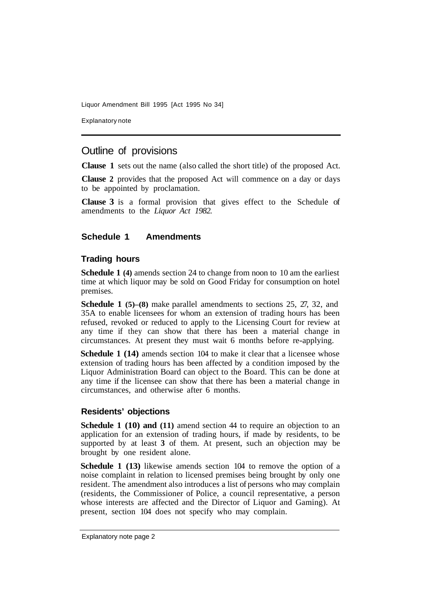Liquor Amendment Bill 1995 [Act 1995 No 34]

Explanatory note

## Outline of provisions

**Clause 1** sets out the name (also called the short title) of the proposed Act.

**Clause 2** provides that the proposed Act will commence on a day or days to be appointed by proclamation.

**Clause 3** is a formal provision that gives effect to the Schedule of amendments to the *Liquor Act 1982.* 

#### **Schedule 1 Amendments**

#### **Trading hours**

**Schedule 1 (4)** amends section 24 to change from noon to 10 am the earliest time at which liquor may be sold on Good Friday for consumption on hotel premises.

**Schedule 1 (5)–(8)** make parallel amendments to sections 25, 27, 32, and 35A to enable licensees for whom an extension of trading hours has been refused, revoked or reduced to apply to the Licensing Court for review at any time if they can show that there has been a material change in circumstances. At present they must wait 6 months before re-applying.

**Schedule 1 (14)** amends section 104 to make it clear that a licensee whose extension of trading hours has been affected by a condition imposed by the Liquor Administration Board can object to the Board. This can be done at any time if the licensee can show that there has been a material change in circumstances, and otherwise after 6 months.

#### **Residents' objections**

**Schedule 1 (10) and (11)** amend section 44 to require an objection to an application for an extension of trading hours, if made by residents, to be supported by at least **3** of them. At present, such an objection may be brought by one resident alone.

**Schedule 1 (13)** likewise amends section 104 to remove the option of a noise complaint in relation to licensed premises being brought by only one resident. The amendment also introduces a list of persons who may complain (residents, the Commissioner of Police, a council representative, a person whose interests are affected and the Director of Liquor and Gaming). At present, section 104 does not specify who may complain.

Explanatory note page 2